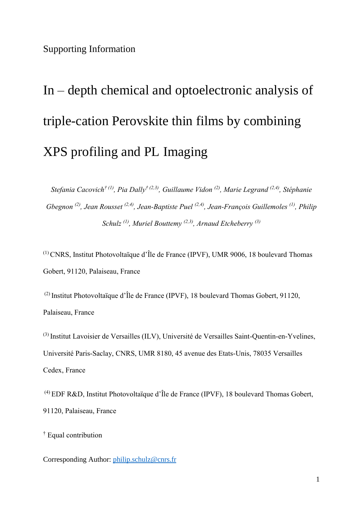# Supporting Information

# In – depth chemical and optoelectronic analysis of triple-cation Perovskite thin films by combining XPS profiling and PL Imaging

*Stefania Cacovich† (1), Pia Dally† (2,3) , Guillaume Vidon (2), Marie Legrand (2,4) , Stéphanie Gbegnon (2) , Jean Rousset (2,4) , Jean-Baptiste Puel (2,4) , Jean-François Guillemoles (1) , Philip Schulz (1) , Muriel Bouttemy (2,3) , Arnaud Etcheberry (3)*

(1) CNRS, Institut Photovoltaïque d'Île de France (IPVF), UMR 9006, 18 boulevard Thomas Gobert, 91120, Palaiseau, France

(2) Institut Photovoltaïque d'Île de France (IPVF), 18 boulevard Thomas Gobert, 91120, Palaiseau, France

(3) Institut Lavoisier de Versailles (ILV), Université de Versailles Saint-Quentin-en-Yvelines, Université Paris-Saclay, CNRS, UMR 8180, 45 avenue des Etats-Unis, 78035 Versailles Cedex, France

(4) EDF R&D, Institut Photovoltaïque d'Île de France (IPVF), 18 boulevard Thomas Gobert, 91120, Palaiseau, France

† Equal contribution

Corresponding Author: [philip.schulz@cnrs.fr](mailto:philip.schulz@cnrs.fr)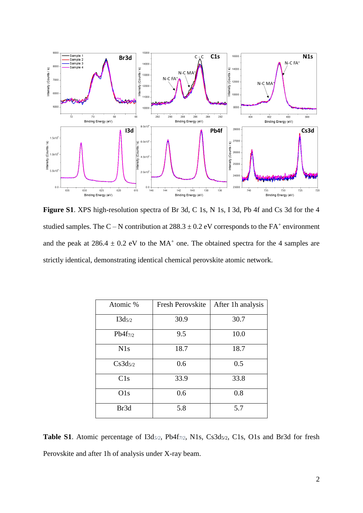

**Figure S1**. XPS high-resolution spectra of Br 3d, C 1s, N 1s, I 3d, Pb 4f and Cs 3d for the 4 studied samples. The C – N contribution at  $288.3 \pm 0.2$  eV corresponds to the FA<sup>+</sup> environment and the peak at  $286.4 \pm 0.2$  eV to the MA<sup>+</sup> one. The obtained spectra for the 4 samples are strictly identical, demonstrating identical chemical perovskite atomic network.

| Atomic %     | <b>Fresh Perovskite</b> | After 1h analysis |
|--------------|-------------------------|-------------------|
| $I3d_{5/2}$  | 30.9                    | 30.7              |
| $Pb4f_{7/2}$ | 9.5                     | 10.0              |
| N1s          | 18.7                    | 18.7              |
| $Cs3d_{5/2}$ | 0.6                     | 0.5               |
| C1s          | 33.9                    | 33.8              |
| O1s          | 0.6                     | 0.8               |
| Br3d         | 5.8                     | 5.7               |

**Table S1**. Atomic percentage of I3d*5/2*, Pb4f*7/2*, N1s, Cs3d5/2, C1s, O1s and Br3d for fresh Perovskite and after 1h of analysis under X-ray beam.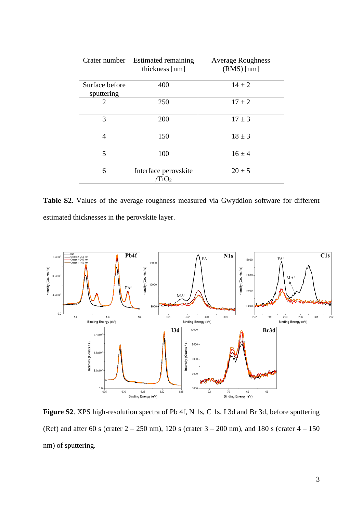| Crater number                | Estimated remaining<br>thickness [nm]     | <b>Average Roughness</b><br>$(RMS)$ [nm] |
|------------------------------|-------------------------------------------|------------------------------------------|
| Surface before<br>sputtering | 400                                       | $14 \pm 2$                               |
| 2                            | 250                                       | $17 \pm 2$                               |
| 3                            | 200                                       | $17 \pm 3$                               |
| 4                            | 150                                       | $18 \pm 3$                               |
| $\overline{5}$               | 100                                       | $16 \pm 4$                               |
| 6                            | Interface perovskite<br>/TiO <sub>2</sub> | $20 \pm 5$                               |

**Table S2**. Values of the average roughness measured via Gwyddion software for different estimated thicknesses in the perovskite layer.



**Figure S2**. XPS high-resolution spectra of Pb 4f, N 1s, C 1s, I 3d and Br 3d, before sputtering (Ref) and after 60 s (crater  $2 - 250$  nm), 120 s (crater  $3 - 200$  nm), and 180 s (crater  $4 - 150$ nm) of sputtering.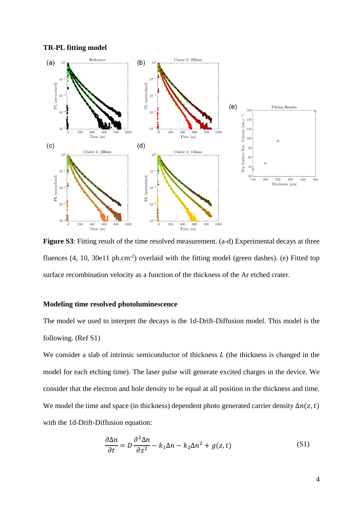

**Figure S3**: Fitting result of the time resolved measurement. (a-d) Experimental decays at three fluences  $(4, 10, 30e11$  ph.cm<sup>-2</sup>) overlaid with the fitting model (green dashes). (e) Fitted top surface recombination velocity as a function of the thickness of the Ar etched crater.

## **Modeling time resolved photoluminescence**

The model we used to interpret the decays is the 1d-Drift-Diffusion model. This model is the following. (Ref S1)

We consider a slab of intrinsic semiconductor of thickness  $L$  (the thickness is changed in the model for each etching time). The laser pulse will generate excited charges in the device. We consider that the electron and hole density to be equal at all position in the thickness and time. We model the time and space (in thickness) dependent photo generated carrier density  $\Delta n(z,t)$ with the 1d-Drift-Diffusion equation:

$$
\frac{\partial \Delta n}{\partial t} = D \frac{\partial^2 \Delta n}{\partial z^2} - k_1 \Delta n - k_2 \Delta n^2 + g(z, t)
$$
 (S1)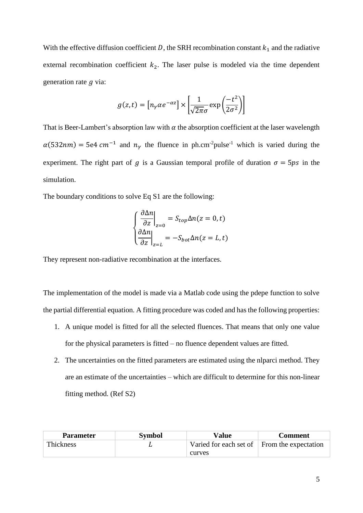With the effective diffusion coefficient D, the SRH recombination constant  $k_1$  and the radiative external recombination coefficient  $k_2$ . The laser pulse is modeled via the time dependent generation rate  $q$  via:

$$
g(z,t) = \left[n_\gamma \alpha e^{-\alpha z}\right] \times \left[\frac{1}{\sqrt{2\pi}\sigma} \exp\left(\frac{-t^2}{2\sigma^2}\right)\right]
$$

That is Beer-Lambert's absorption law with  $\alpha$  the absorption coefficient at the laser wavelength  $\alpha(532nm) = 5e4 \text{ cm}^{-1}$  and  $n_{\gamma}$  the fluence in ph.cm<sup>-2</sup>pulse<sup>-1</sup> which is varied during the experiment. The right part of g is a Gaussian temporal profile of duration  $\sigma = 5 \text{ps}$  in the simulation.

The boundary conditions to solve Eq S1 are the following:

$$
\left\{\frac{\partial \Delta n}{\partial z}\Big|_{z=0} = S_{top}\Delta n(z=0,t)
$$

$$
\left\{\frac{\partial \Delta n}{\partial z}\Big|_{z=L} = -S_{bot}\Delta n(z=L,t)
$$

They represent non-radiative recombination at the interfaces.

The implementation of the model is made via a Matlab code using the pdepe function to solve the partial differential equation. A fitting procedure was coded and has the following properties:

- 1. A unique model is fitted for all the selected fluences. That means that only one value for the physical parameters is fitted – no fluence dependent values are fitted.
- 2. The uncertainties on the fitted parameters are estimated using the nlparci method. They are an estimate of the uncertainties – which are difficult to determine for this non-linear fitting method. (Ref S2)

| <b>Parameter</b> | <b>Symbol</b> | Value                                                   | Comment |
|------------------|---------------|---------------------------------------------------------|---------|
| Thickness        |               | Varied for each set of $\parallel$ From the expectation |         |
|                  |               | curves                                                  |         |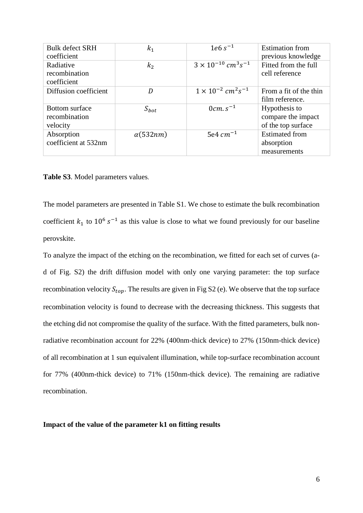| <b>Bulk defect SRH</b><br>coefficient              | $k_1$            | $1e6s^{-1}$                                         | <b>Estimation</b> from<br>previous knowledge              |
|----------------------------------------------------|------------------|-----------------------------------------------------|-----------------------------------------------------------|
| Radiative<br>recombination<br>coefficient          | $k_{2}$          | $3 \times 10^{-10}$ cm <sup>3</sup> s <sup>-1</sup> | Fitted from the full<br>cell reference                    |
| Diffusion coefficient                              | D                | $1 \times 10^{-2}$ cm <sup>2</sup> s <sup>-1</sup>  | From a fit of the thin<br>film reference.                 |
| <b>Bottom</b> surface<br>recombination<br>velocity | $S_{bot}$        | $0cm. s^{-1}$                                       | Hypothesis to<br>compare the impact<br>of the top surface |
| Absorption<br>coefficient at 532nm                 | $\alpha$ (532nm) | 5e4 $cm^{-1}$                                       | <b>Estimated from</b><br>absorption<br>measurements       |

**Table S3**. Model parameters values.

The model parameters are presented in Table S1. We chose to estimate the bulk recombination coefficient  $k_1$  to  $10^6 s^{-1}$  as this value is close to what we found previously for our baseline perovskite.

To analyze the impact of the etching on the recombination, we fitted for each set of curves (ad of Fig. S2) the drift diffusion model with only one varying parameter: the top surface recombination velocity  $S_{ton}$ . The results are given in Fig S2 (e). We observe that the top surface recombination velocity is found to decrease with the decreasing thickness. This suggests that the etching did not compromise the quality of the surface. With the fitted parameters, bulk nonradiative recombination account for 22% (400nm-thick device) to 27% (150nm-thick device) of all recombination at 1 sun equivalent illumination, while top-surface recombination account for 77% (400nm-thick device) to 71% (150nm-thick device). The remaining are radiative recombination.

**Impact of the value of the parameter k1 on fitting results**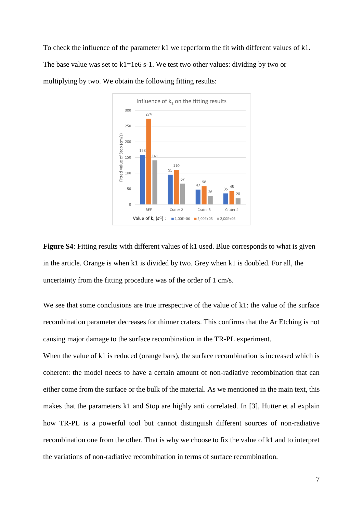To check the influence of the parameter k1 we reperform the fit with different values of k1. The base value was set to  $k1=1e6$  s-1. We test two other values: dividing by two or multiplying by two. We obtain the following fitting results:



**Figure S4**: Fitting results with different values of k1 used. Blue corresponds to what is given in the article. Orange is when k1 is divided by two. Grey when k1 is doubled. For all, the uncertainty from the fitting procedure was of the order of 1 cm/s.

We see that some conclusions are true irrespective of the value of k1: the value of the surface recombination parameter decreases for thinner craters. This confirms that the Ar Etching is not causing major damage to the surface recombination in the TR-PL experiment.

When the value of k1 is reduced (orange bars), the surface recombination is increased which is coherent: the model needs to have a certain amount of non-radiative recombination that can either come from the surface or the bulk of the material. As we mentioned in the main text, this makes that the parameters k1 and Stop are highly anti correlated. In [\[3\],](https://doi.org/10.1063/1.5143121) Hutter et al explain how TR-PL is a powerful tool but cannot distinguish different sources of non-radiative recombination one from the other. That is why we choose to fix the value of k1 and to interpret the variations of non-radiative recombination in terms of surface recombination.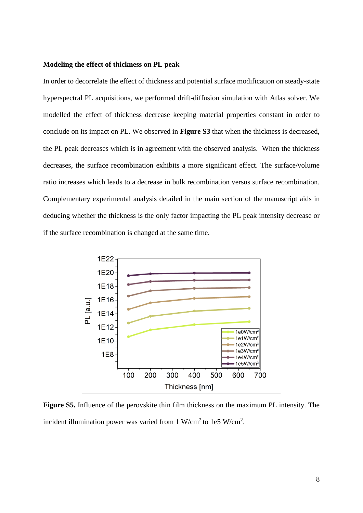#### **Modeling the effect of thickness on PL peak**

In order to decorrelate the effect of thickness and potential surface modification on steady-state hyperspectral PL acquisitions, we performed drift-diffusion simulation with Atlas solver. We modelled the effect of thickness decrease keeping material properties constant in order to conclude on its impact on PL. We observed in **Figure S3** that when the thickness is decreased, the PL peak decreases which is in agreement with the observed analysis. When the thickness decreases, the surface recombination exhibits a more significant effect. The surface/volume ratio increases which leads to a decrease in bulk recombination versus surface recombination. Complementary experimental analysis detailed in the main section of the manuscript aids in deducing whether the thickness is the only factor impacting the PL peak intensity decrease or if the surface recombination is changed at the same time.



**Figure S5.** Influence of the perovskite thin film thickness on the maximum PL intensity. The incident illumination power was varied from 1 W/cm<sup>2</sup> to 1e5 W/cm<sup>2</sup>.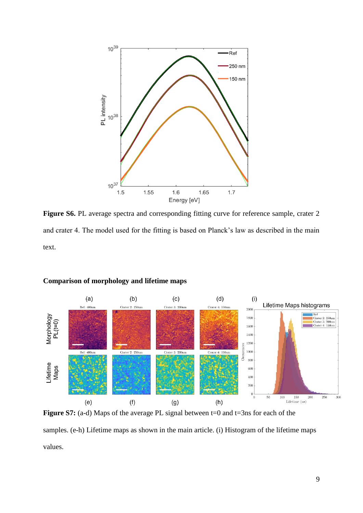

Figure S6. PL average spectra and corresponding fitting curve for reference sample, crater 2 and crater 4. The model used for the fitting is based on Planck's law as described in the main text.



## **Comparison of morphology and lifetime maps**

**Figure S7:** (a-d) Maps of the average PL signal between t=0 and t=3ns for each of the samples. (e-h) Lifetime maps as shown in the main article. (i) Histogram of the lifetime maps values.